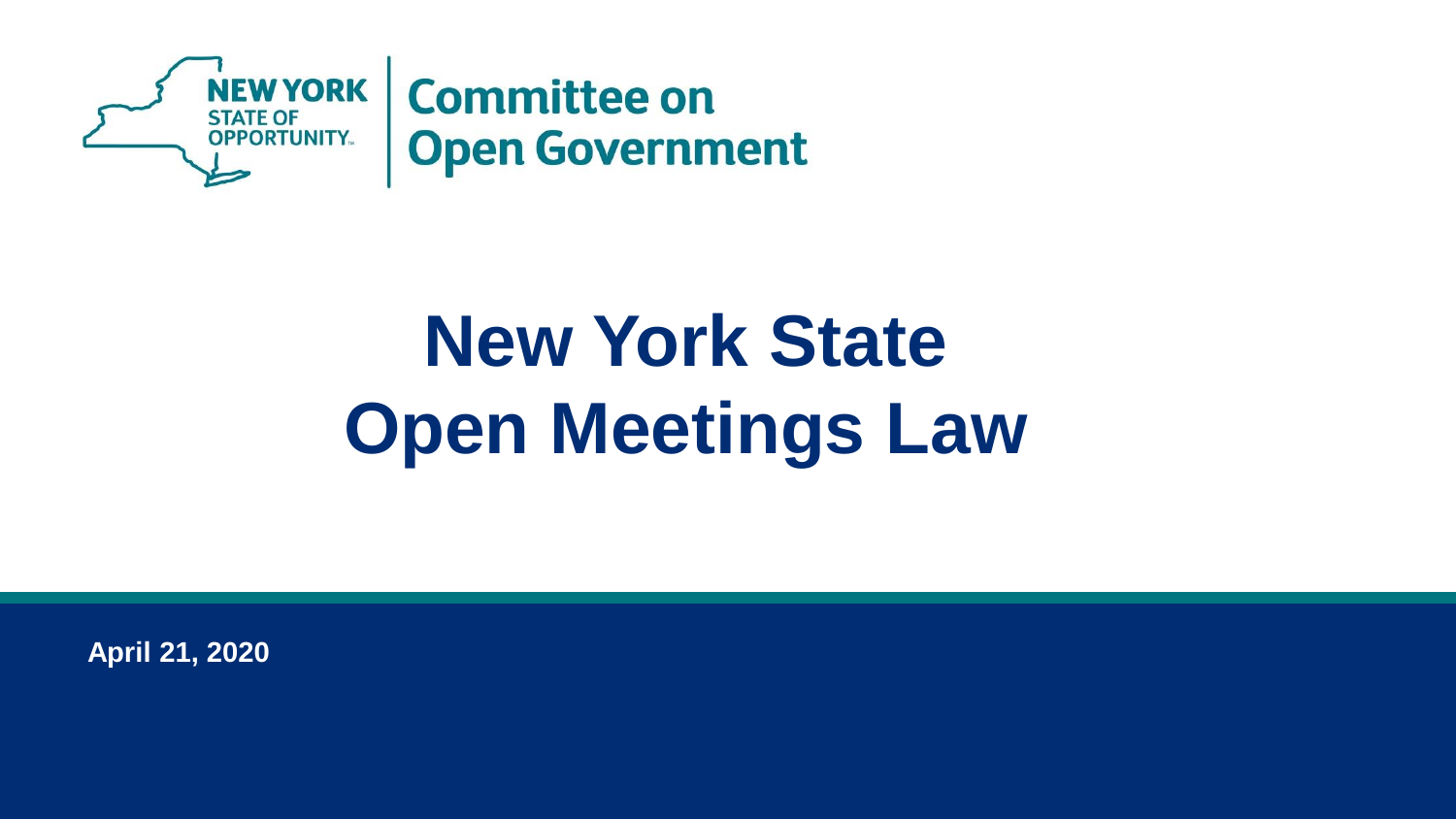

# **New York State Open Meetings Law**

**April 21, 2020**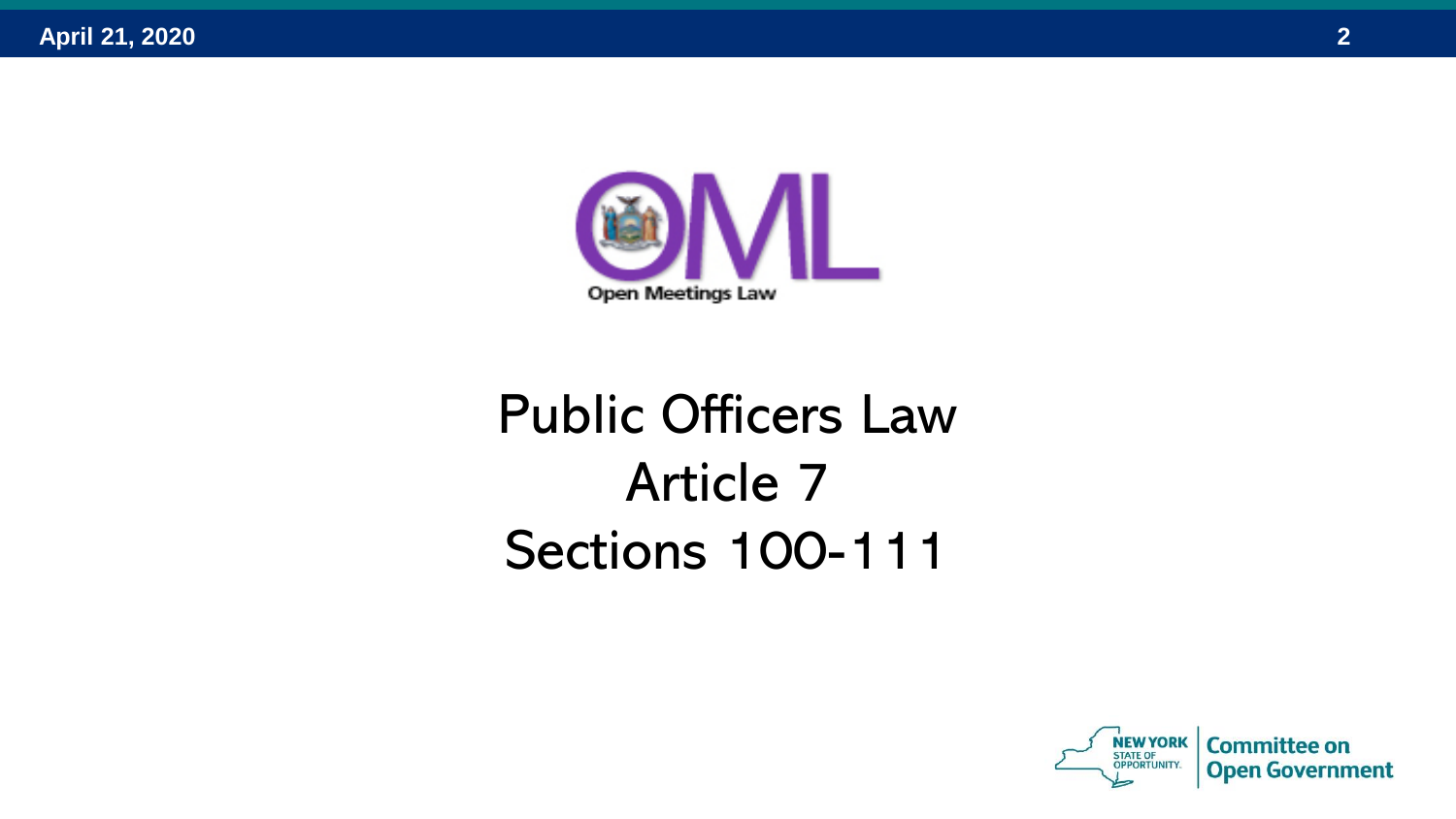

### Public Officers Law Article 7 Sections 100-111

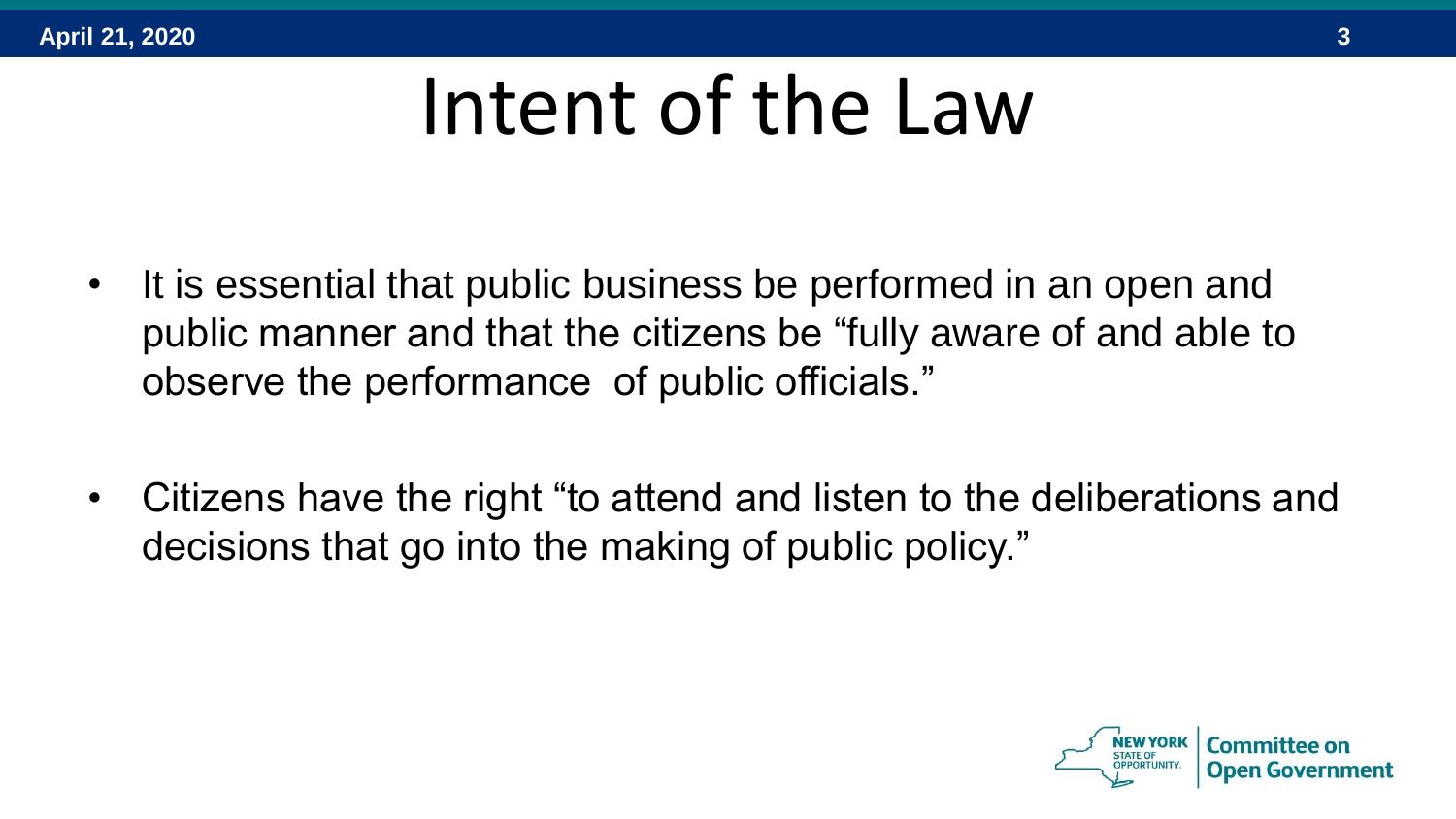# Intent of the Law

- It is essential that public business be performed in an open and public manner and that the citizens be "fully aware of and able to observe the performance of public officials."
- Citizens have the right "to attend and listen to the deliberations and decisions that go into the making of public policy."

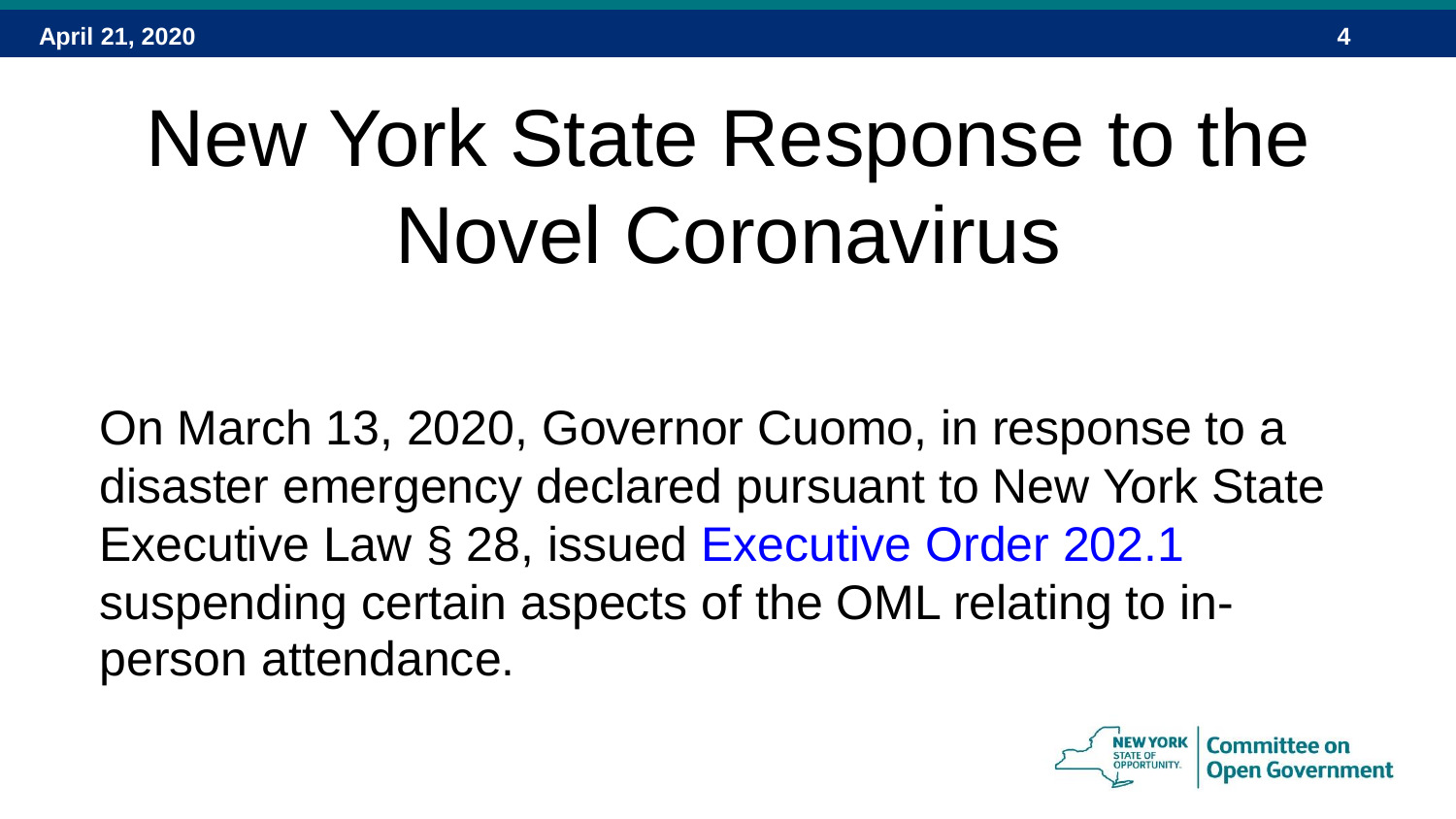# New York State Response to the Novel Coronavirus

On March 13, 2020, Governor Cuomo, in response to a disaster emergency declared pursuant to New York State Executive Law § 28, issued Executive Order 202.1 suspending certain aspects of the OML relating to inperson attendance.

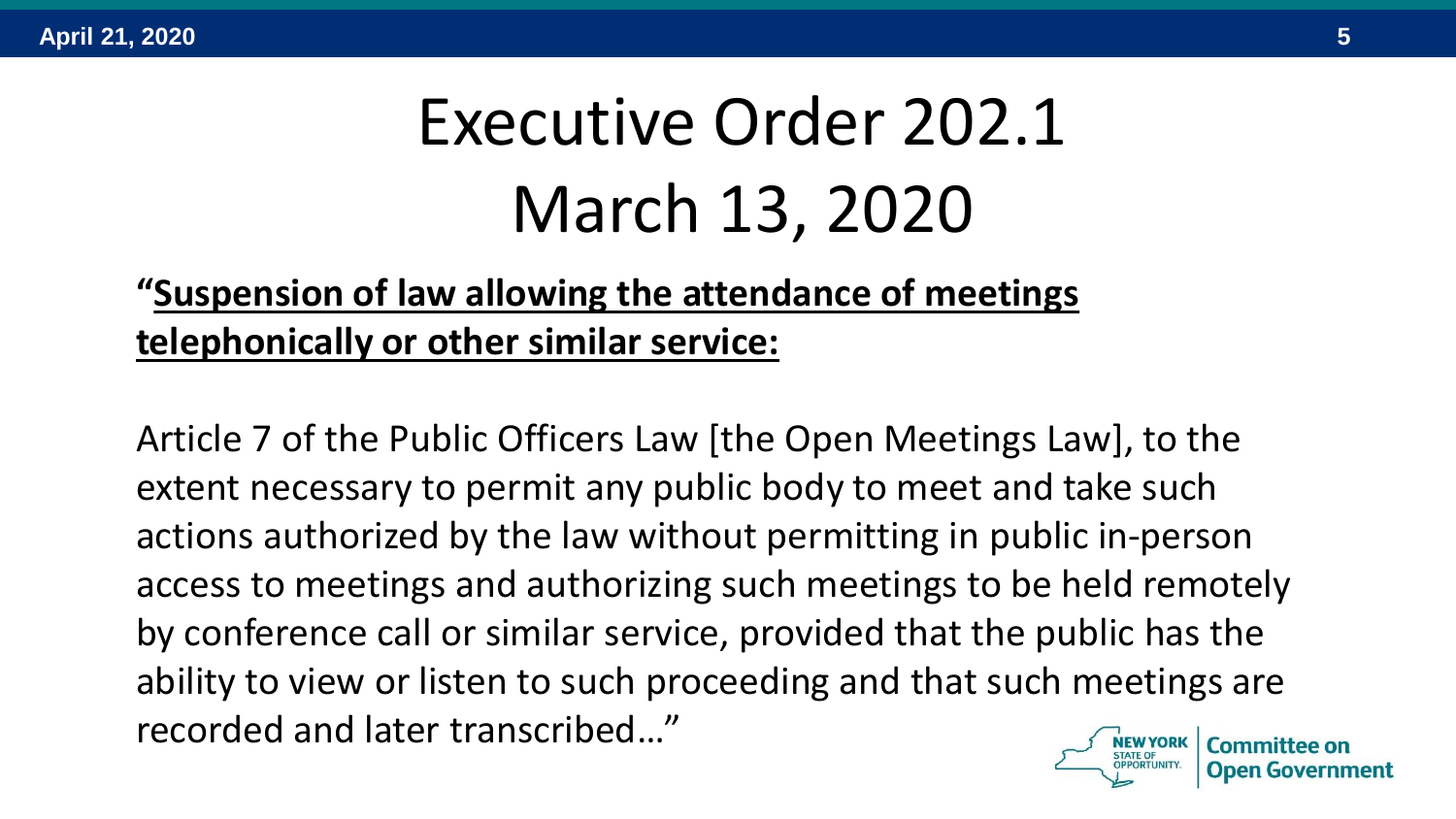## Executive Order 202.1 March 13, 2020

#### **"Suspension of law allowing the attendance of meetings telephonically or other similar service:**

Article 7 of the Public Officers Law [the Open Meetings Law], to the extent necessary to permit any public body to meet and take such actions authorized by the law without permitting in public in-person access to meetings and authorizing such meetings to be held remotely by conference call or similar service, provided that the public has the ability to view or listen to such proceeding and that such meetings are recorded and later transcribed…"

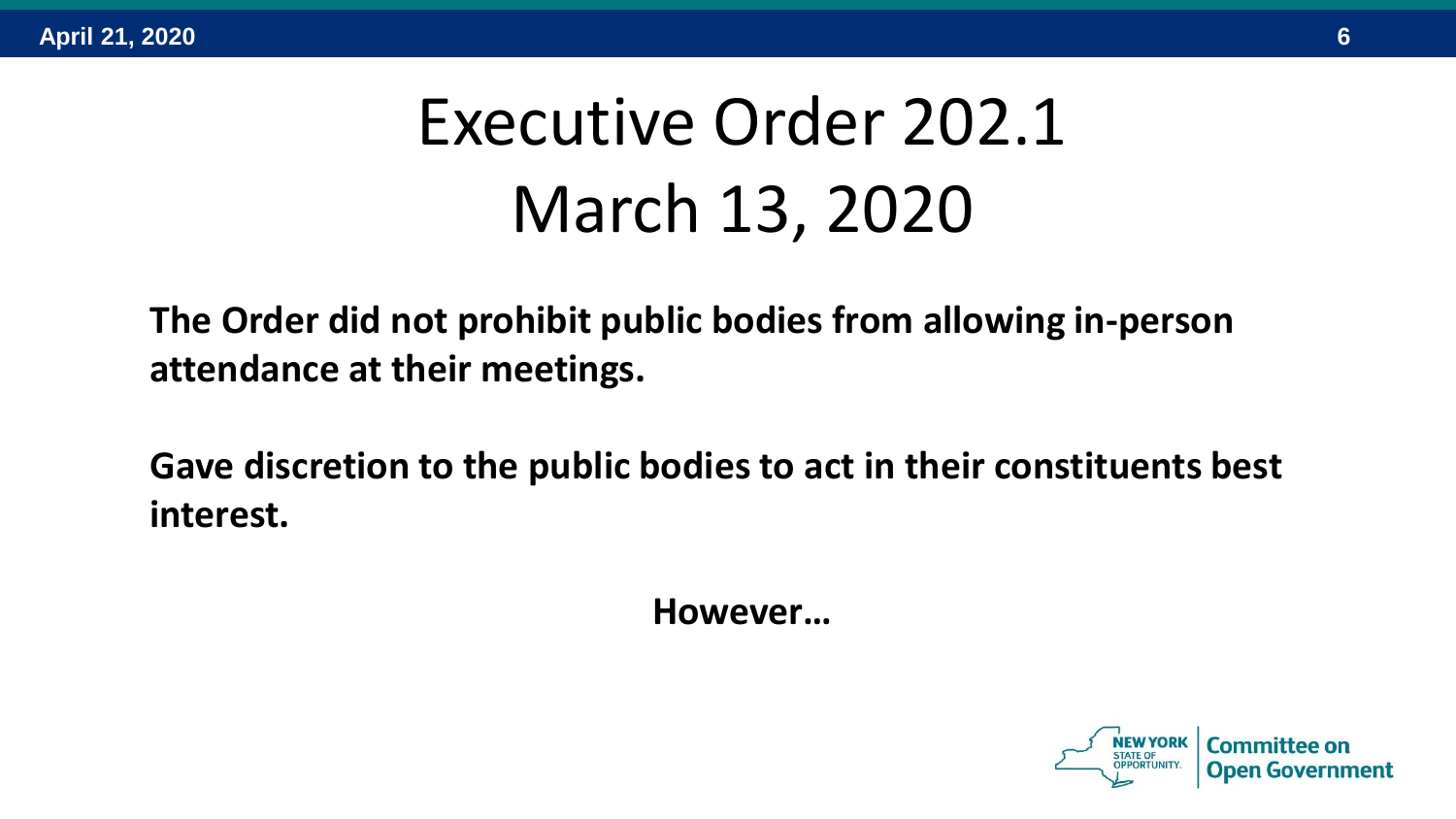## Executive Order 202.1 March 13, 2020

**The Order did not prohibit public bodies from allowing in-person attendance at their meetings.**

**Gave discretion to the public bodies to act in their constituents best interest.** 

**However…**

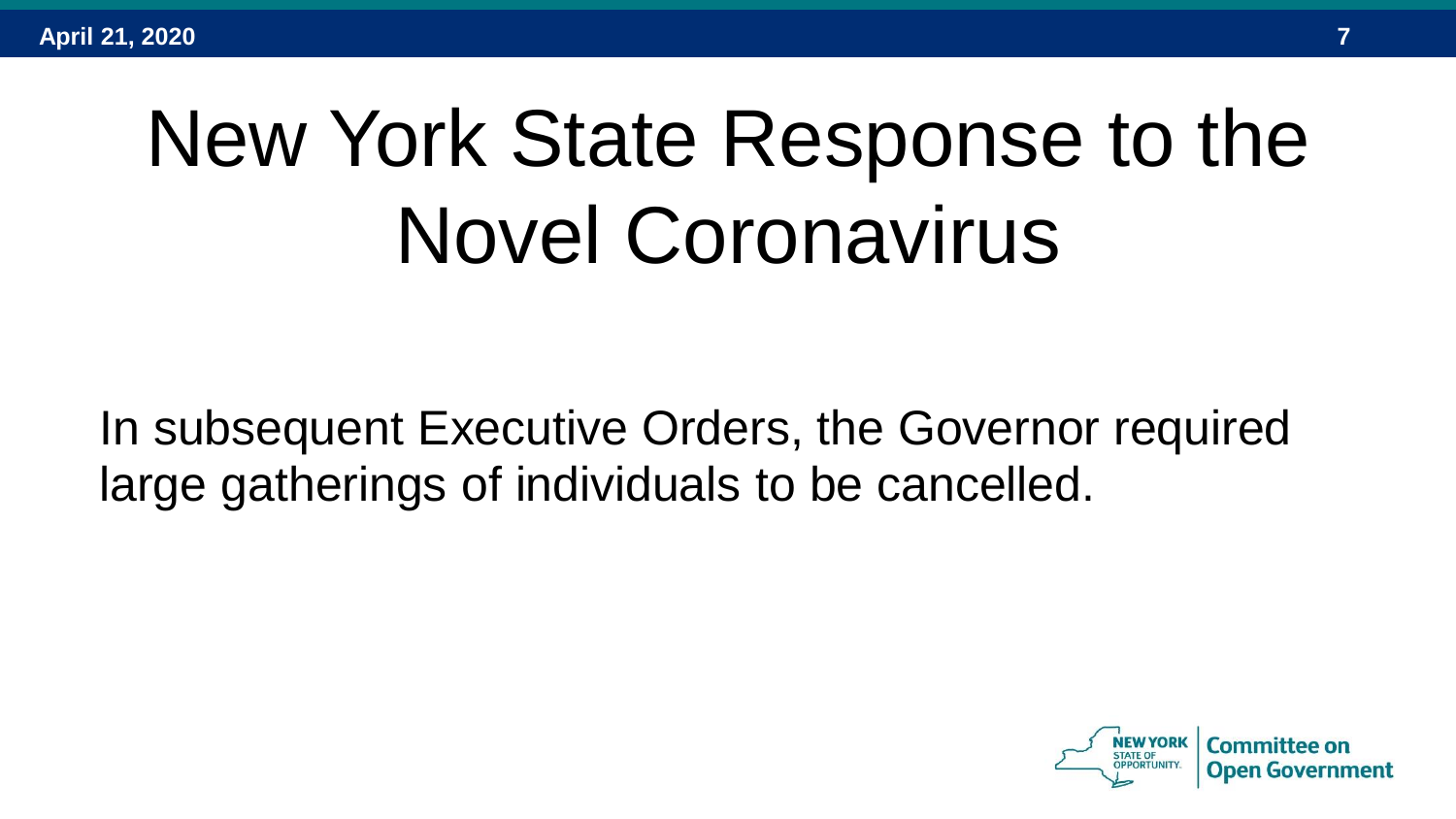# New York State Response to the Novel Coronavirus

In subsequent Executive Orders, the Governor required large gatherings of individuals to be cancelled.

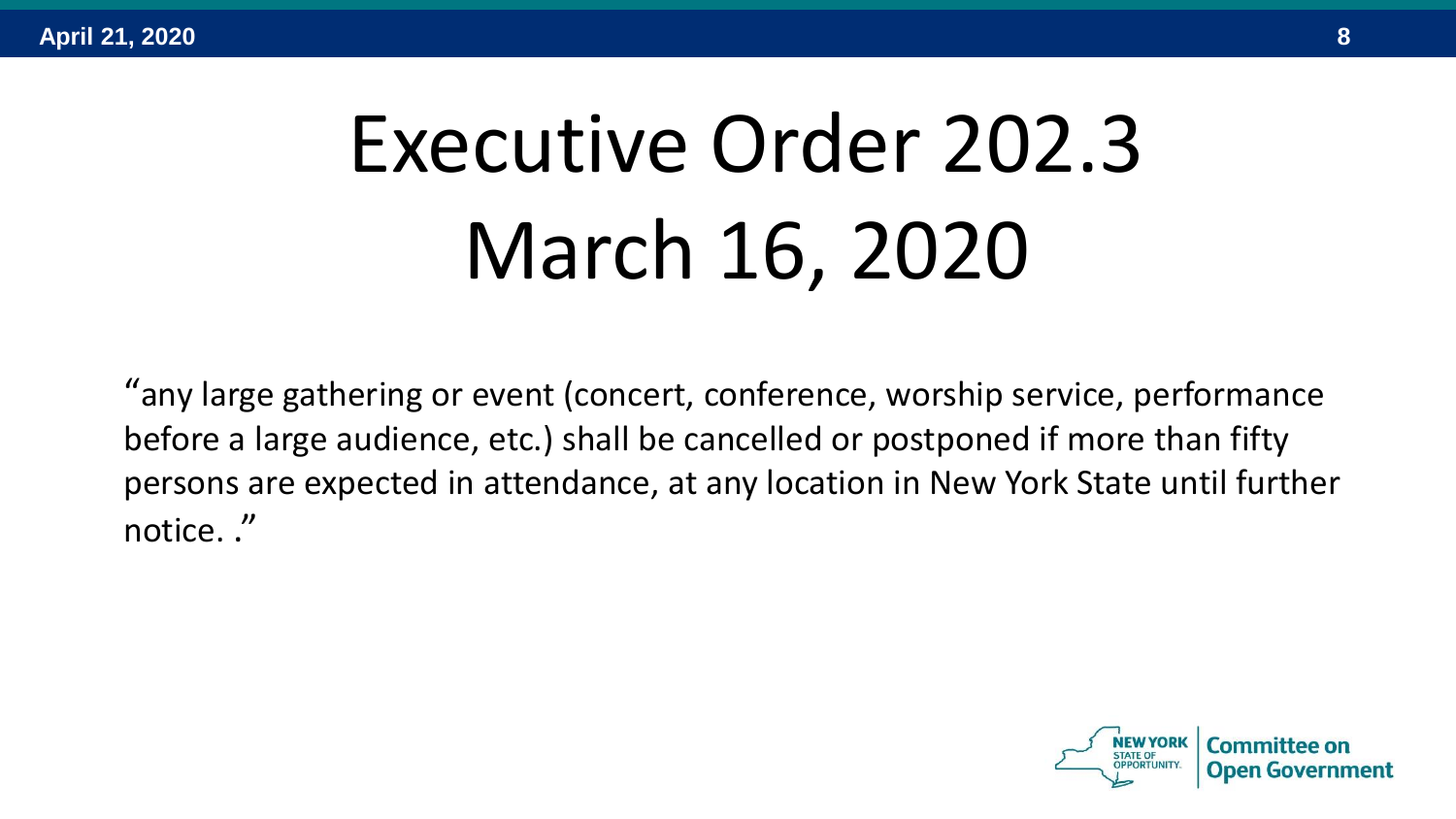# Executive Order 202.3 March 16, 2020

"any large gathering or event (concert, conference, worship service, performance before a large audience, etc.) shall be cancelled or postponed if more than fifty persons are expected in attendance, at any location in New York State until further notice. ."

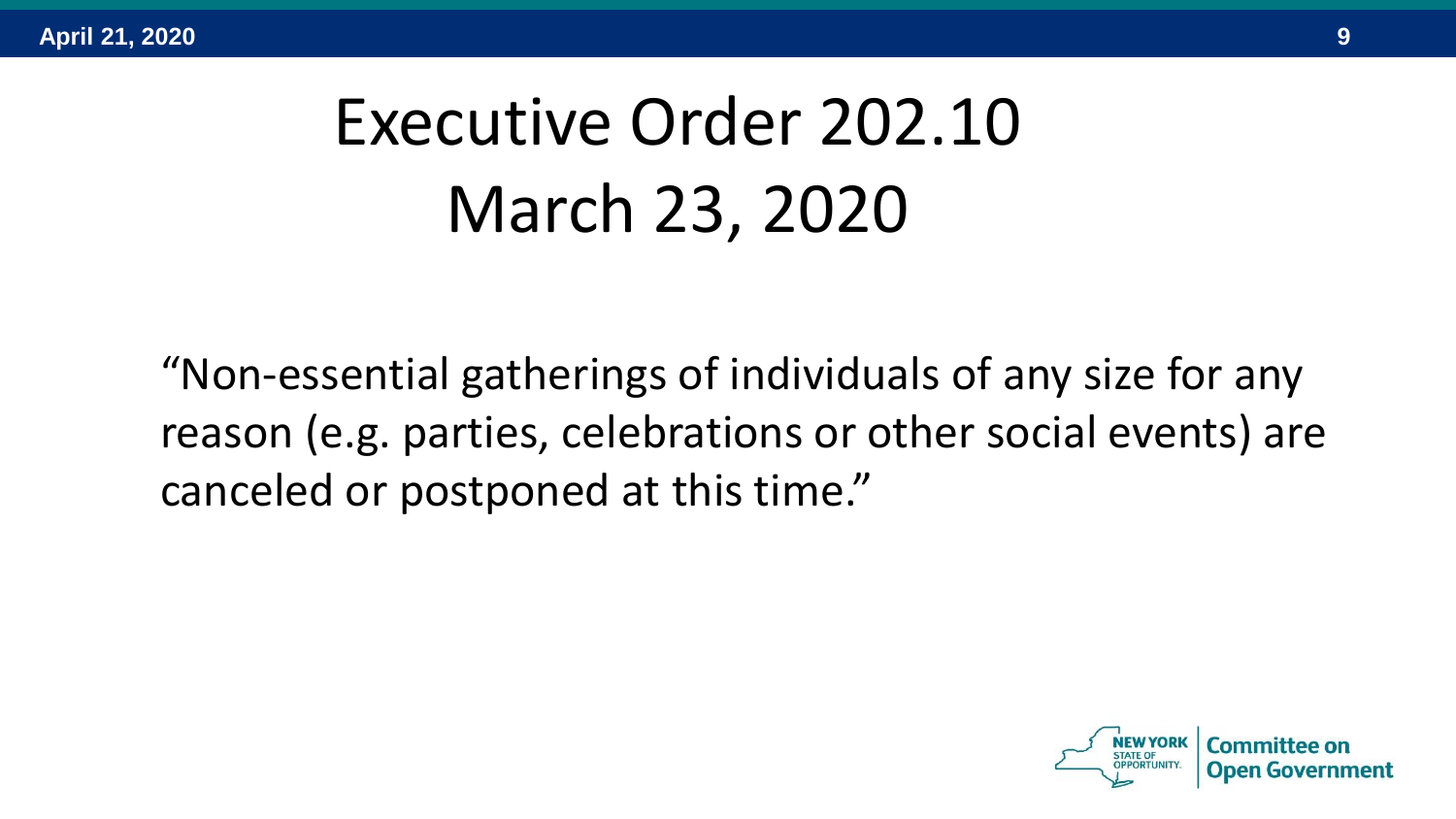## Executive Order 202.10 March 23, 2020

"Non-essential gatherings of individuals of any size for any reason (e.g. parties, celebrations or other social events) are canceled or postponed at this time."

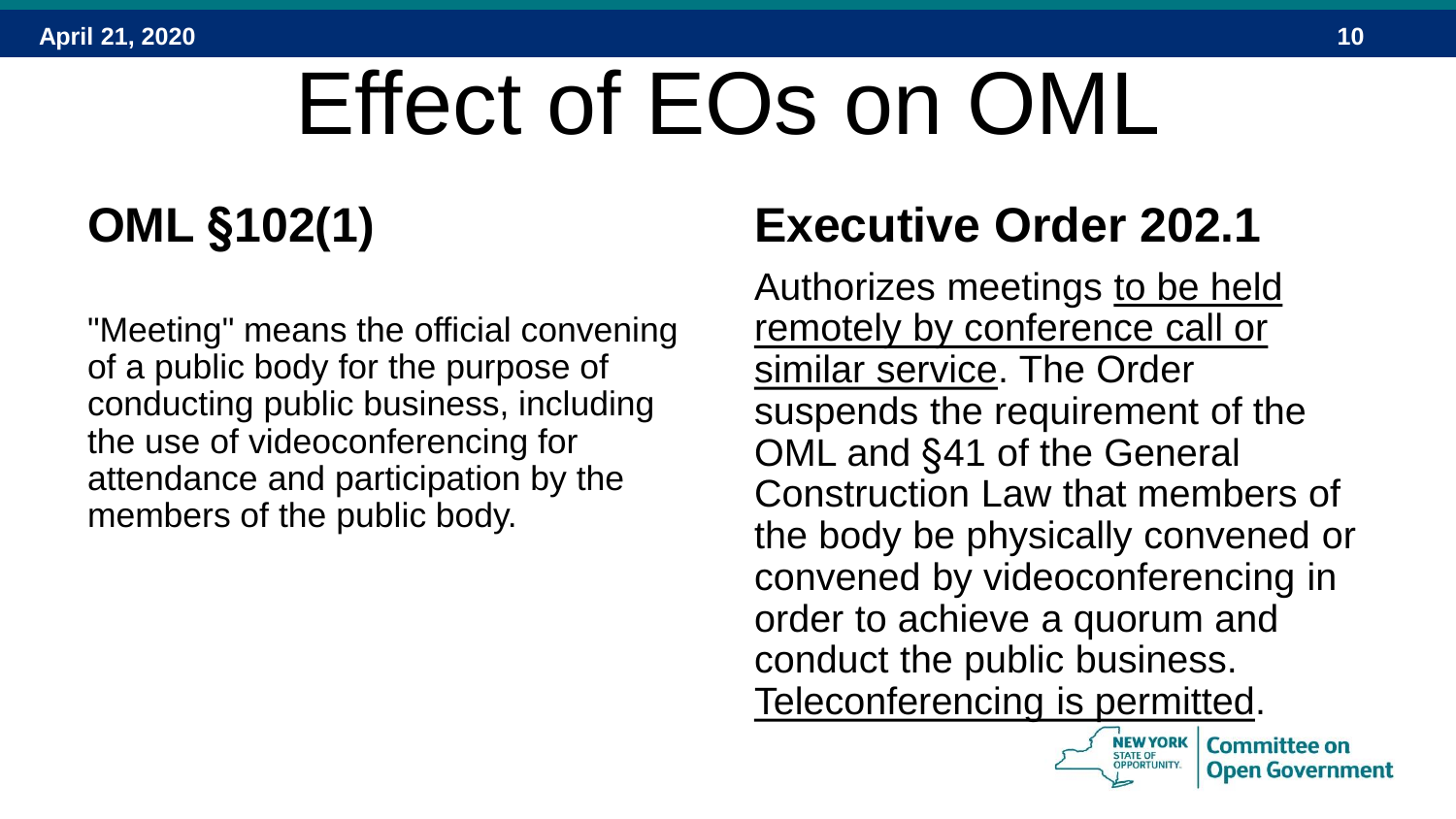# Effect of EOs on OML

## **OML §102(1)**

"Meeting" means the official convening of a public body for the purpose of conducting public business, including the use of videoconferencing for attendance and participation by the members of the public body.

### **Executive Order 202.1**

Authorizes meetings to be held remotely by conference call or similar service. The Order suspends the requirement of the OML and §41 of the General Construction Law that members of the body be physically convened or convened by videoconferencing in order to achieve a quorum and conduct the public business. Teleconferencing is permitted.

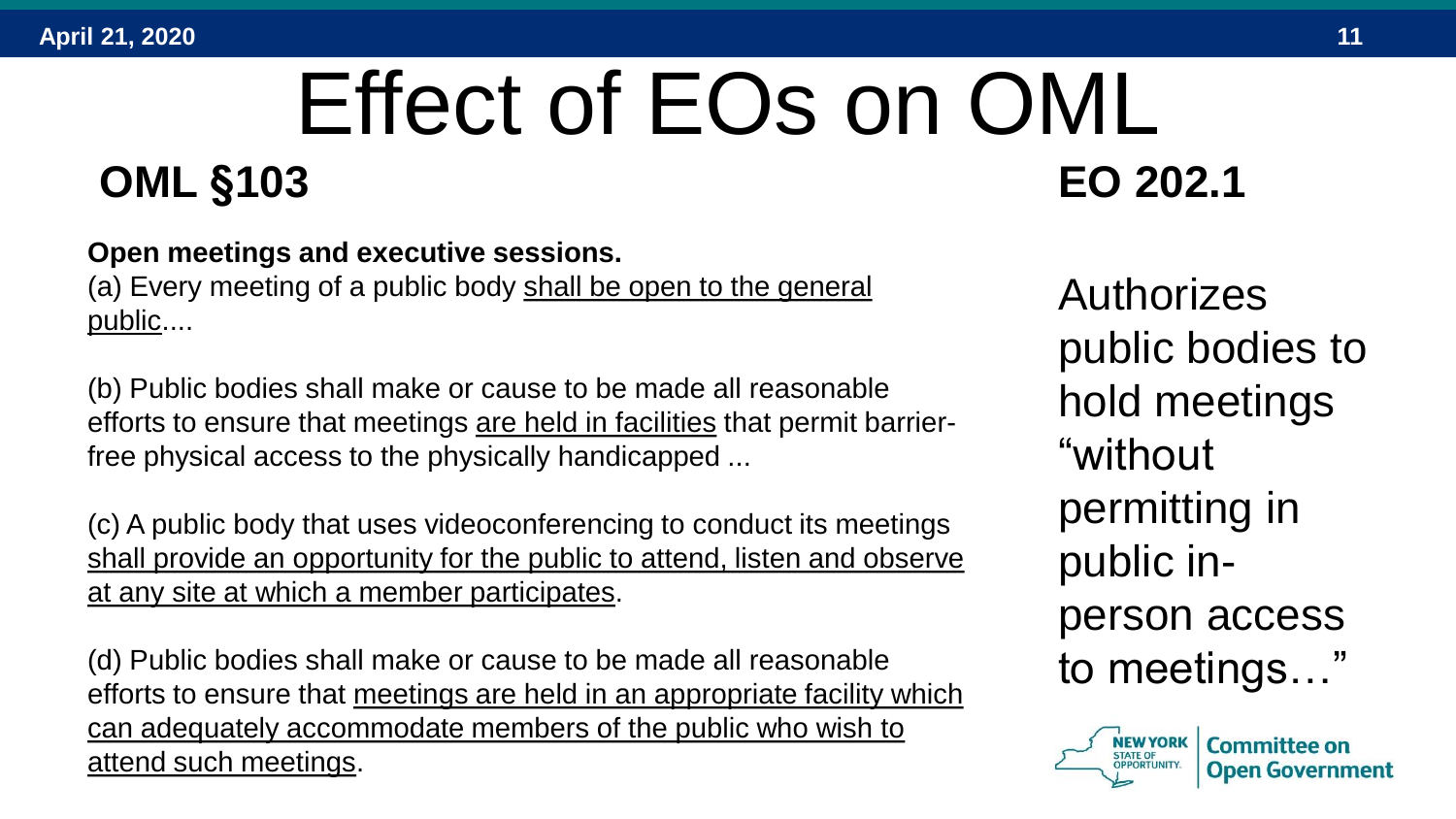### Effect of EOs on OML **OML §103 EO 202.1**

#### **Open meetings and executive sessions.**

(a) Every meeting of a public body shall be open to the general public....

(b) Public bodies shall make or cause to be made all reasonable efforts to ensure that meetings are held in facilities that permit barrierfree physical access to the physically handicapped ...

(c) A public body that uses videoconferencing to conduct its meetings shall provide an opportunity for the public to attend, listen and observe at any site at which a member participates.

(d) Public bodies shall make or cause to be made all reasonable efforts to ensure that meetings are held in an appropriate facility which can adequately accommodate members of the public who wish to attend such meetings.

Authorizes public bodies to hold meetings "without permitting in public inperson access to meetings…"



**Committee on**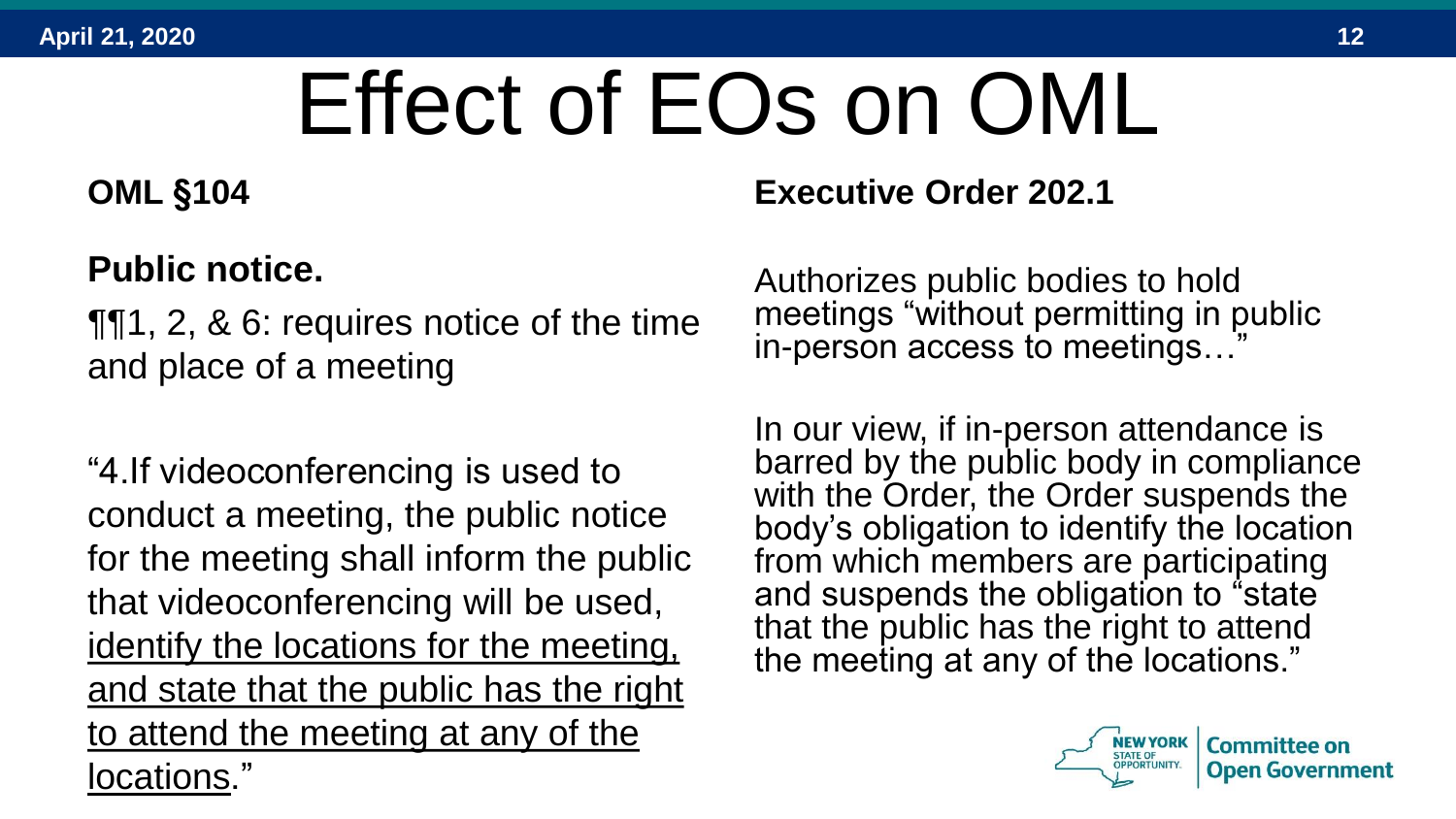# Effect of EOs on OML

#### **OML §104**

#### **Public notice.**

¶¶1, 2, & 6: requires notice of the time and place of a meeting

"4.If videoconferencing is used to conduct a meeting, the public notice for the meeting shall inform the public that videoconferencing will be used, identify the locations for the meeting, and state that the public has the right to attend the meeting at any of the locations."

**Executive Order 202.1**

Authorizes public bodies to hold meetings "without permitting in public in-person access to meetings...

In our view, if in-person attendance is barred by the public body in compliance with the Order, the Order suspends the body's obligation to identify the location from which members are participating and suspends the obligation to "state that the public has the right to attend the meeting at any of the locations."

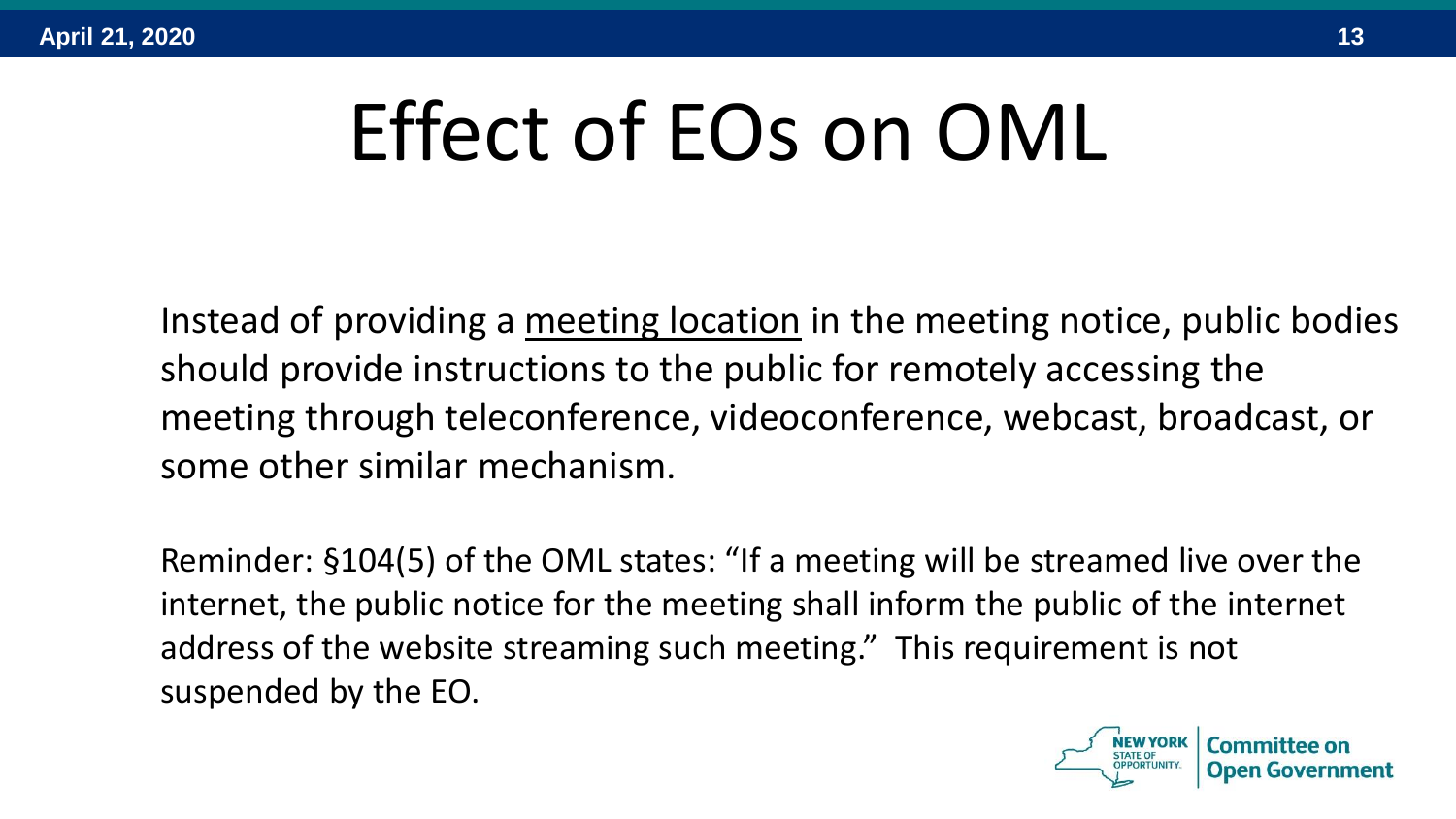# Effect of EOs on OML

Instead of providing a meeting location in the meeting notice, public bodies should provide instructions to the public for remotely accessing the meeting through teleconference, videoconference, webcast, broadcast, or some other similar mechanism.

Reminder: §104(5) of the OML states: "If a meeting will be streamed live over the internet, the public notice for the meeting shall inform the public of the internet address of the website streaming such meeting." This requirement is not suspended by the EO.

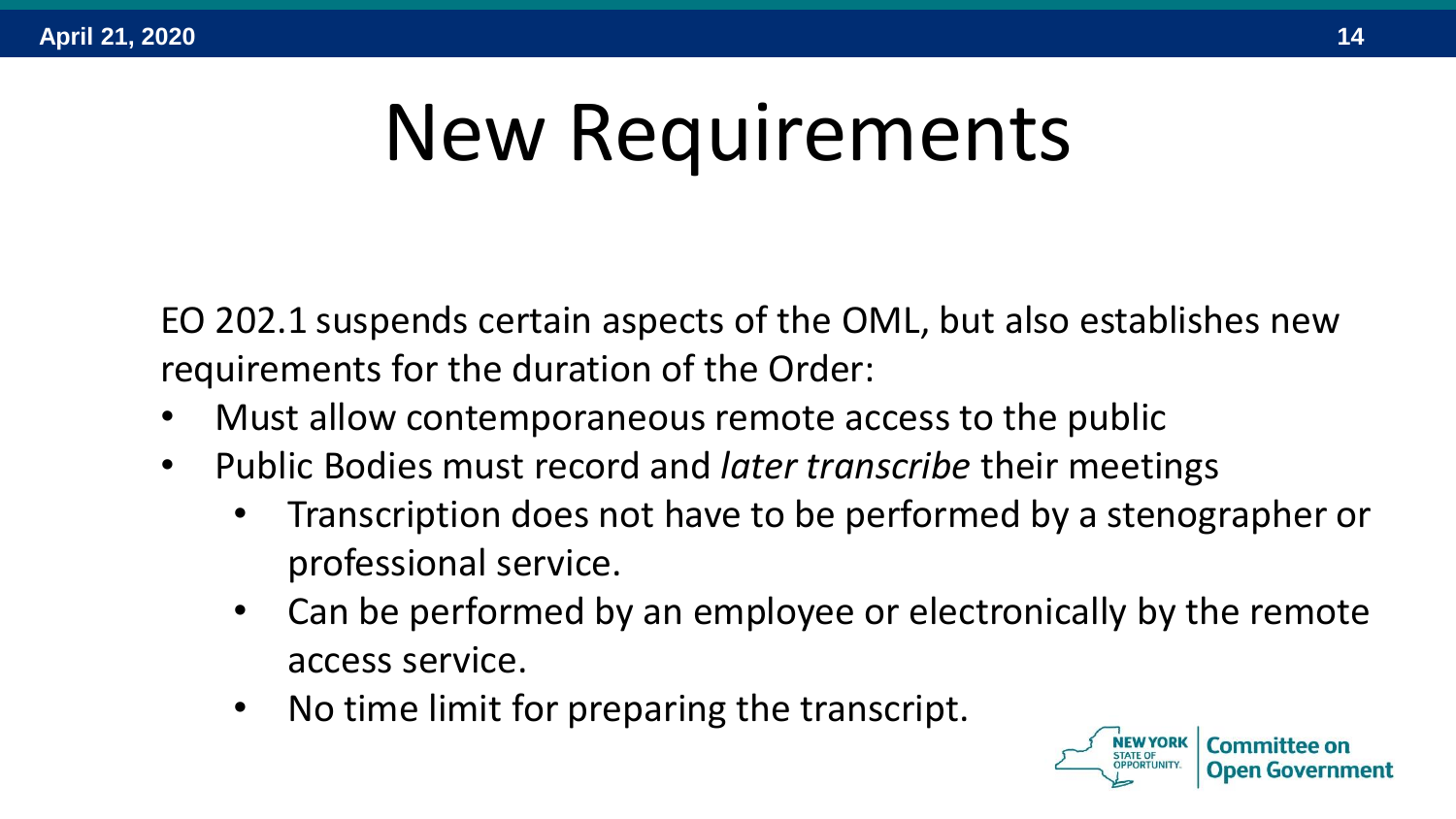# New Requirements

EO 202.1 suspends certain aspects of the OML, but also establishes new requirements for the duration of the Order:

- Must allow contemporaneous remote access to the public
- Public Bodies must record and *later transcribe* their meetings
	- Transcription does not have to be performed by a stenographer or professional service.
	- Can be performed by an employee or electronically by the remote access service.
	- No time limit for preparing the transcript.